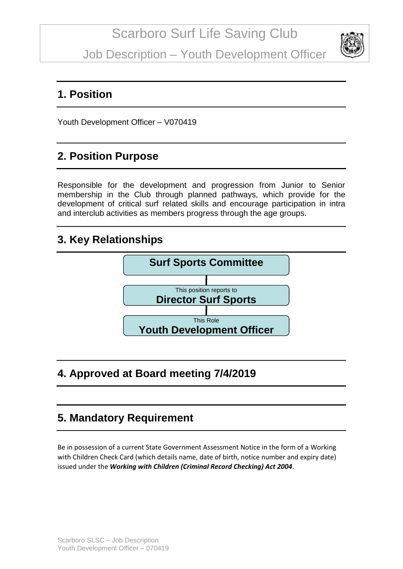Job Description – Youth Development Officer



#### **1. Position**

Youth Development Officer – V070419

# **2. Position Purpose**

Responsible for the development and progression from Junior to Senior membership in the Club through planned pathways, which provide for the development of critical surf related skills and encourage participation in intra and interclub activities as members progress through the age groups.

#### **3. Key Relationships**



# **4. Approved at Board meeting 7/4/2019**

# **5. Mandatory Requirement**

Be in possession of a current State Government Assessment Notice in the form of a Working with Children Check Card (which details name, date of birth, notice number and expiry date) issued under the *Working with Children (Criminal Record Checking) Act 2004*.